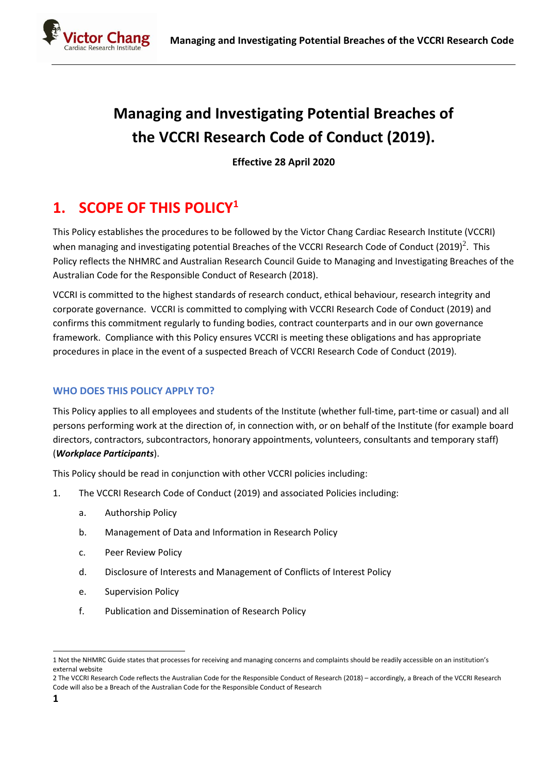

# **Managing and Investigating Potential Breaches of the VCCRI Research Code of Conduct (2019).**

**Effective 28 April 2020**

# **1. SCOPE OF THIS POLICY<sup>1</sup>**

This Policy establishes the procedures to be followed by the Victor Chang Cardiac Research Institute (VCCRI) when managing and investigating potential Breaches of the VCCRI Research Code of Conduct (2019)<sup>2</sup>. This Policy reflects the NHMRC and Australian Research Council Guide to Managing and Investigating Breaches of the Australian Code for the Responsible Conduct of Research (2018).

VCCRI is committed to the highest standards of research conduct, ethical behaviour, research integrity and corporate governance. VCCRI is committed to complying with VCCRI Research Code of Conduct (2019) and confirms this commitment regularly to funding bodies, contract counterparts and in our own governance framework. Compliance with this Policy ensures VCCRI is meeting these obligations and has appropriate procedures in place in the event of a suspected Breach of VCCRI Research Code of Conduct (2019).

# **WHO DOES THIS POLICY APPLY TO?**

This Policy applies to all employees and students of the Institute (whether full-time, part-time or casual) and all persons performing work at the direction of, in connection with, or on behalf of the Institute (for example board directors, contractors, subcontractors, honorary appointments, volunteers, consultants and temporary staff) (*Workplace Participants*).

This Policy should be read in conjunction with other VCCRI policies including:

- 1. The VCCRI Research Code of Conduct (2019) and associated Policies including:
	- a. Authorship Policy
	- b. Management of Data and Information in Research Policy
	- c. Peer Review Policy
	- d. Disclosure of Interests and Management of Conflicts of Interest Policy
	- e. Supervision Policy
	- f. Publication and Dissemination of Research Policy

<sup>1</sup> Not the NHMRC Guide states that processes for receiving and managing concerns and complaints should be readily accessible on an institution's external website

<sup>2</sup> The VCCRI Research Code reflects the Australian Code for the Responsible Conduct of Research (2018) – accordingly, a Breach of the VCCRI Research Code will also be a Breach of the Australian Code for the Responsible Conduct of Research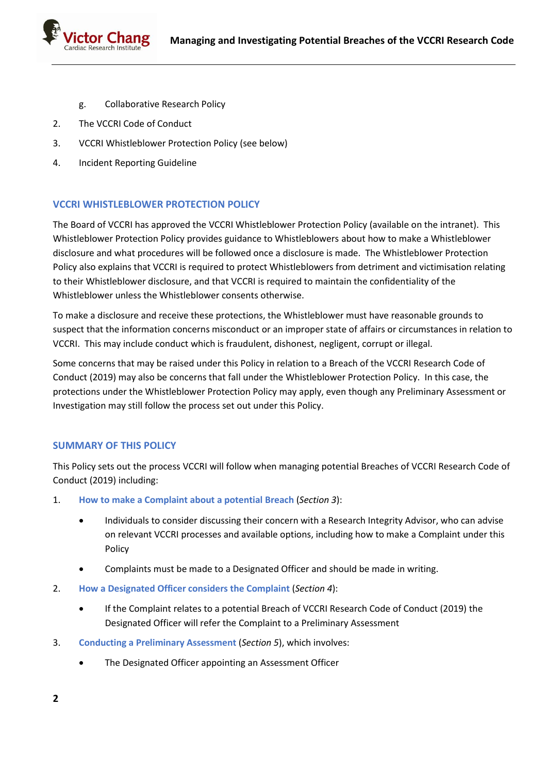

- g. Collaborative Research Policy
- 2. The VCCRI Code of Conduct
- 3. VCCRI Whistleblower Protection Policy (see below)
- 4. Incident Reporting Guideline

### **VCCRI WHISTLEBLOWER PROTECTION POLICY**

The Board of VCCRI has approved the VCCRI Whistleblower Protection Policy (available on the intranet). This Whistleblower Protection Policy provides guidance to Whistleblowers about how to make a Whistleblower disclosure and what procedures will be followed once a disclosure is made. The Whistleblower Protection Policy also explains that VCCRI is required to protect Whistleblowers from detriment and victimisation relating to their Whistleblower disclosure, and that VCCRI is required to maintain the confidentiality of the Whistleblower unless the Whistleblower consents otherwise.

To make a disclosure and receive these protections, the Whistleblower must have reasonable grounds to suspect that the information concerns misconduct or an improper state of affairs or circumstances in relation to VCCRI. This may include conduct which is fraudulent, dishonest, negligent, corrupt or illegal.

Some concerns that may be raised under this Policy in relation to a Breach of the VCCRI Research Code of Conduct (2019) may also be concerns that fall under the Whistleblower Protection Policy. In this case, the protections under the Whistleblower Protection Policy may apply, even though any Preliminary Assessment or Investigation may still follow the process set out under this Policy.

### **SUMMARY OF THIS POLICY**

This Policy sets out the process VCCRI will follow when managing potential Breaches of VCCRI Research Code of Conduct (2019) including:

- 1. **How to make a Complaint about a potential Breach** (*Section 3*):
	- Individuals to consider discussing their concern with a Research Integrity Advisor, who can advise on relevant VCCRI processes and available options, including how to make a Complaint under this Policy
	- Complaints must be made to a Designated Officer and should be made in writing.
- 2. **How a Designated Officer considers the Complaint** (*Section 4*):
	- If the Complaint relates to a potential Breach of VCCRI Research Code of Conduct (2019) the Designated Officer will refer the Complaint to a Preliminary Assessment
- 3. **Conducting a Preliminary Assessment** (*Section 5*), which involves:
	- The Designated Officer appointing an Assessment Officer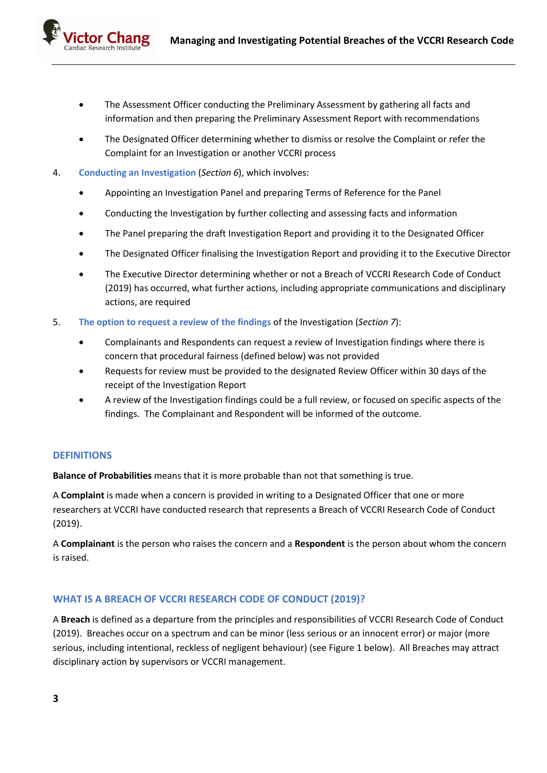- The Assessment Officer conducting the Preliminary Assessment by gathering all facts and information and then preparing the Preliminary Assessment Report with recommendations
- The Designated Officer determining whether to dismiss or resolve the Complaint or refer the Complaint for an Investigation or another VCCRI process
- 4. **Conducting an Investigation** (*Section 6*), which involves:
	- Appointing an Investigation Panel and preparing Terms of Reference for the Panel
	- Conducting the Investigation by further collecting and assessing facts and information
	- The Panel preparing the draft Investigation Report and providing it to the Designated Officer
	- The Designated Officer finalising the Investigation Report and providing it to the Executive Director
	- The Executive Director determining whether or not a Breach of VCCRI Research Code of Conduct (2019) has occurred, what further actions, including appropriate communications and disciplinary actions, are required
- 5. **The option to request a review of the findings** of the Investigation (*Section 7*):
	- Complainants and Respondents can request a review of Investigation findings where there is concern that procedural fairness (defined below) was not provided
	- Requests for review must be provided to the designated Review Officer within 30 days of the receipt of the Investigation Report
	- A review of the Investigation findings could be a full review, or focused on specific aspects of the findings. The Complainant and Respondent will be informed of the outcome.

### **DEFINITIONS**

**Balance of Probabilities** means that it is more probable than not that something is true.

A **Complaint** is made when a concern is provided in writing to a Designated Officer that one or more researchers at VCCRI have conducted research that represents a Breach of VCCRI Research Code of Conduct (2019).

A **Complainant** is the person who raises the concern and a **Respondent** is the person about whom the concern is raised.

### **WHAT IS A BREACH OF VCCRI RESEARCH CODE OF CONDUCT (2019)?**

A **Breach** is defined as a departure from the principles and responsibilities of VCCRI Research Code of Conduct (2019). Breaches occur on a spectrum and can be minor (less serious or an innocent error) or major (more serious, including intentional, reckless of negligent behaviour) (see Figure 1 below). All Breaches may attract disciplinary action by supervisors or VCCRI management.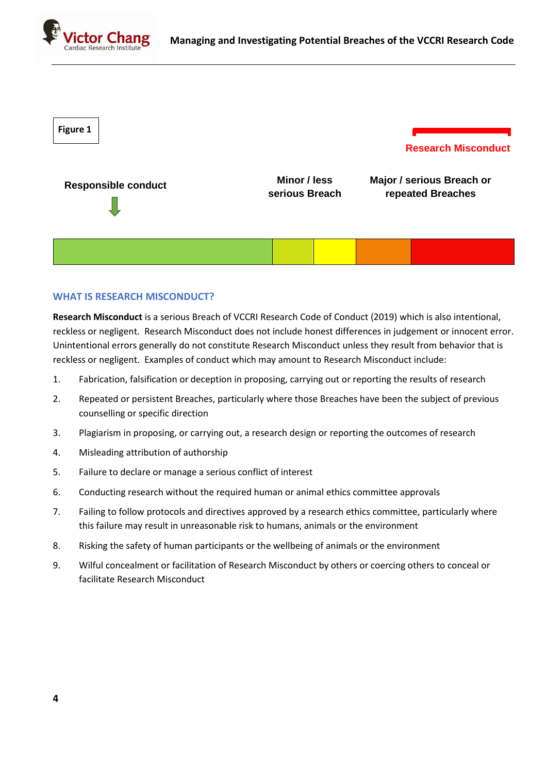



#### **WHAT IS RESEARCH MISCONDUCT?**

**Research Misconduct** is a serious Breach of VCCRI Research Code of Conduct (2019) which is also intentional, reckless or negligent. Research Misconduct does not include honest differences in judgement or innocent error. Unintentional errors generally do not constitute Research Misconduct unless they result from behavior that is reckless or negligent. Examples of conduct which may amount to Research Misconduct include:

- 1. Fabrication, falsification or deception in proposing, carrying out or reporting the results of research
- 2. Repeated or persistent Breaches, particularly where those Breaches have been the subject of previous counselling or specific direction
- 3. Plagiarism in proposing, or carrying out, a research design or reporting the outcomes of research
- 4. Misleading attribution of authorship
- 5. Failure to declare or manage a serious conflict of interest
- 6. Conducting research without the required human or animal ethics committee approvals
- 7. Failing to follow protocols and directives approved by a research ethics committee, particularly where this failure may result in unreasonable risk to humans, animals or the environment
- 8. Risking the safety of human participants or the wellbeing of animals or the environment
- 9. Wilful concealment or facilitation of Research Misconduct by others or coercing others to conceal or facilitate Research Misconduct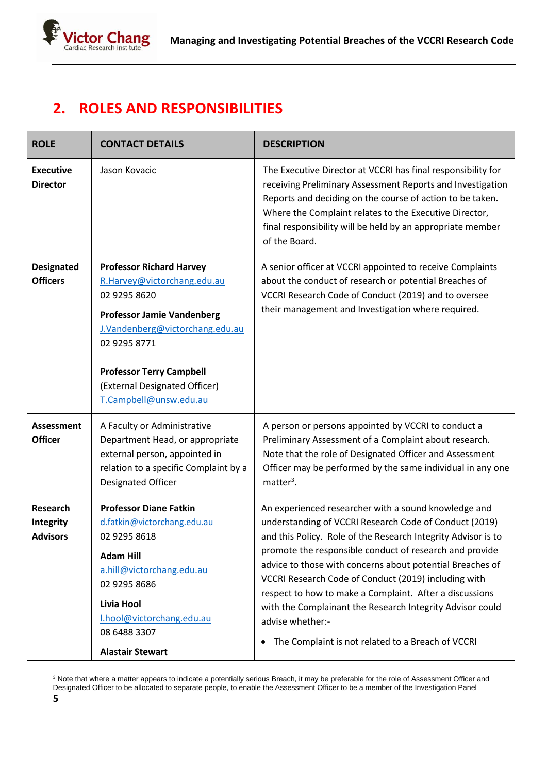

# **2. ROLES AND RESPONSIBILITIES**

| <b>ROLE</b>                                     | <b>CONTACT DETAILS</b>                                                                                                                                                                                                                                               | <b>DESCRIPTION</b>                                                                                                                                                                                                                                                                                                                                                                                                                                                                                                                                                    |
|-------------------------------------------------|----------------------------------------------------------------------------------------------------------------------------------------------------------------------------------------------------------------------------------------------------------------------|-----------------------------------------------------------------------------------------------------------------------------------------------------------------------------------------------------------------------------------------------------------------------------------------------------------------------------------------------------------------------------------------------------------------------------------------------------------------------------------------------------------------------------------------------------------------------|
| <b>Executive</b><br><b>Director</b>             | Jason Kovacic                                                                                                                                                                                                                                                        | The Executive Director at VCCRI has final responsibility for<br>receiving Preliminary Assessment Reports and Investigation<br>Reports and deciding on the course of action to be taken.<br>Where the Complaint relates to the Executive Director,<br>final responsibility will be held by an appropriate member<br>of the Board.                                                                                                                                                                                                                                      |
| <b>Designated</b><br><b>Officers</b>            | <b>Professor Richard Harvey</b><br>R.Harvey@victorchang.edu.au<br>02 9295 8620<br><b>Professor Jamie Vandenberg</b><br>J.Vandenberg@victorchang.edu.au<br>02 9295 8771<br><b>Professor Terry Campbell</b><br>(External Designated Officer)<br>T.Campbell@unsw.edu.au | A senior officer at VCCRI appointed to receive Complaints<br>about the conduct of research or potential Breaches of<br>VCCRI Research Code of Conduct (2019) and to oversee<br>their management and Investigation where required.                                                                                                                                                                                                                                                                                                                                     |
| <b>Assessment</b><br><b>Officer</b>             | A Faculty or Administrative<br>Department Head, or appropriate<br>external person, appointed in<br>relation to a specific Complaint by a<br>Designated Officer                                                                                                       | A person or persons appointed by VCCRI to conduct a<br>Preliminary Assessment of a Complaint about research.<br>Note that the role of Designated Officer and Assessment<br>Officer may be performed by the same individual in any one<br>matter <sup>3</sup> .                                                                                                                                                                                                                                                                                                        |
| <b>Research</b><br>Integrity<br><b>Advisors</b> | <b>Professor Diane Fatkin</b><br>d.fatkin@victorchang.edu.au<br>02 9295 8618<br><b>Adam Hill</b><br>a.hill@victorchang.edu.au<br>02 9295 8686<br>Livia Hool<br>I.hool@victorchang.edu.au<br>08 6488 3307<br><b>Alastair Stewart</b>                                  | An experienced researcher with a sound knowledge and<br>understanding of VCCRI Research Code of Conduct (2019)<br>and this Policy. Role of the Research Integrity Advisor is to<br>promote the responsible conduct of research and provide<br>advice to those with concerns about potential Breaches of<br>VCCRI Research Code of Conduct (2019) including with<br>respect to how to make a Complaint. After a discussions<br>with the Complainant the Research Integrity Advisor could<br>advise whether:-<br>The Complaint is not related to a Breach of VCCRI<br>٠ |

<sup>3</sup> Note that where a matter appears to indicate a potentially serious Breach, it may be preferable for the role of Assessment Officer and Designated Officer to be allocated to separate people, to enable the Assessment Officer to be a member of the Investigation Panel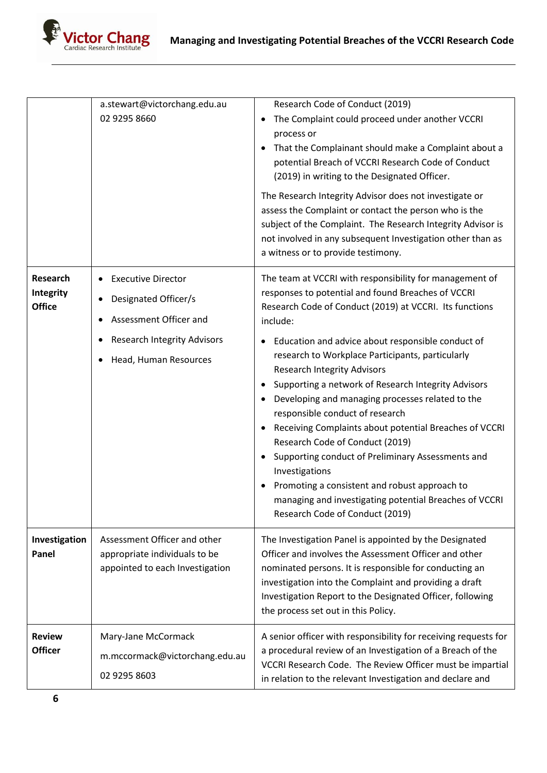

|                                               | a.stewart@victorchang.edu.au<br>02 9295 8660                                                                                               | Research Code of Conduct (2019)<br>The Complaint could proceed under another VCCRI<br>process or<br>That the Complainant should make a Complaint about a<br>$\bullet$<br>potential Breach of VCCRI Research Code of Conduct<br>(2019) in writing to the Designated Officer.<br>The Research Integrity Advisor does not investigate or<br>assess the Complaint or contact the person who is the<br>subject of the Complaint. The Research Integrity Advisor is<br>not involved in any subsequent Investigation other than as<br>a witness or to provide testimony.                                                                                                                                                                                                                                        |
|-----------------------------------------------|--------------------------------------------------------------------------------------------------------------------------------------------|----------------------------------------------------------------------------------------------------------------------------------------------------------------------------------------------------------------------------------------------------------------------------------------------------------------------------------------------------------------------------------------------------------------------------------------------------------------------------------------------------------------------------------------------------------------------------------------------------------------------------------------------------------------------------------------------------------------------------------------------------------------------------------------------------------|
| <b>Research</b><br>Integrity<br><b>Office</b> | <b>Executive Director</b><br>Designated Officer/s<br>Assessment Officer and<br><b>Research Integrity Advisors</b><br>Head, Human Resources | The team at VCCRI with responsibility for management of<br>responses to potential and found Breaches of VCCRI<br>Research Code of Conduct (2019) at VCCRI. Its functions<br>include:<br>Education and advice about responsible conduct of<br>٠<br>research to Workplace Participants, particularly<br><b>Research Integrity Advisors</b><br>Supporting a network of Research Integrity Advisors<br>Developing and managing processes related to the<br>responsible conduct of research<br>Receiving Complaints about potential Breaches of VCCRI<br>Research Code of Conduct (2019)<br>Supporting conduct of Preliminary Assessments and<br>Investigations<br>Promoting a consistent and robust approach to<br>managing and investigating potential Breaches of VCCRI<br>Research Code of Conduct (2019) |
| Investigation<br>Panel                        | Assessment Officer and other<br>appropriate individuals to be<br>appointed to each Investigation                                           | The Investigation Panel is appointed by the Designated<br>Officer and involves the Assessment Officer and other<br>nominated persons. It is responsible for conducting an<br>investigation into the Complaint and providing a draft<br>Investigation Report to the Designated Officer, following<br>the process set out in this Policy.                                                                                                                                                                                                                                                                                                                                                                                                                                                                  |
| <b>Review</b><br><b>Officer</b>               | Mary-Jane McCormack<br>m.mccormack@victorchang.edu.au<br>02 9295 8603                                                                      | A senior officer with responsibility for receiving requests for<br>a procedural review of an Investigation of a Breach of the<br>VCCRI Research Code. The Review Officer must be impartial<br>in relation to the relevant Investigation and declare and                                                                                                                                                                                                                                                                                                                                                                                                                                                                                                                                                  |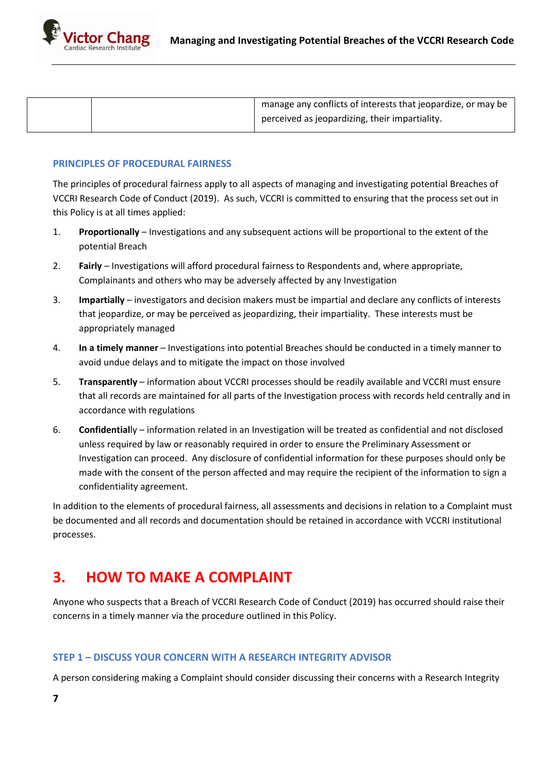

|  | manage any conflicts of interests that jeopardize, or may be |
|--|--------------------------------------------------------------|
|  | perceived as jeopardizing, their impartiality.               |

#### **PRINCIPLES OF PROCEDURAL FAIRNESS**

The principles of procedural fairness apply to all aspects of managing and investigating potential Breaches of VCCRI Research Code of Conduct (2019). As such, VCCRI is committed to ensuring that the process set out in this Policy is at all times applied:

- 1. **Proportionally** Investigations and any subsequent actions will be proportional to the extent of the potential Breach
- 2. **Fairly** Investigations will afford procedural fairness to Respondents and, where appropriate, Complainants and others who may be adversely affected by any Investigation
- 3. **Impartially** investigators and decision makers must be impartial and declare any conflicts of interests that jeopardize, or may be perceived as jeopardizing, their impartiality. These interests must be appropriately managed
- 4. **In a timely manner** Investigations into potential Breaches should be conducted in a timely manner to avoid undue delays and to mitigate the impact on those involved
- 5. **Transparently** information about VCCRI processes should be readily available and VCCRI must ensure that all records are maintained for all parts of the Investigation process with records held centrally and in accordance with regulations
- 6. **Confidential**ly information related in an Investigation will be treated as confidential and not disclosed unless required by law or reasonably required in order to ensure the Preliminary Assessment or Investigation can proceed. Any disclosure of confidential information for these purposes should only be made with the consent of the person affected and may require the recipient of the information to sign a confidentiality agreement.

In addition to the elements of procedural fairness, all assessments and decisions in relation to a Complaint must be documented and all records and documentation should be retained in accordance with VCCRI institutional processes.

# **3. HOW TO MAKE A COMPLAINT**

Anyone who suspects that a Breach of VCCRI Research Code of Conduct (2019) has occurred should raise their concerns in a timely manner via the procedure outlined in this Policy.

### **STEP 1 – DISCUSS YOUR CONCERN WITH A RESEARCH INTEGRITY ADVISOR**

A person considering making a Complaint should consider discussing their concerns with a Research Integrity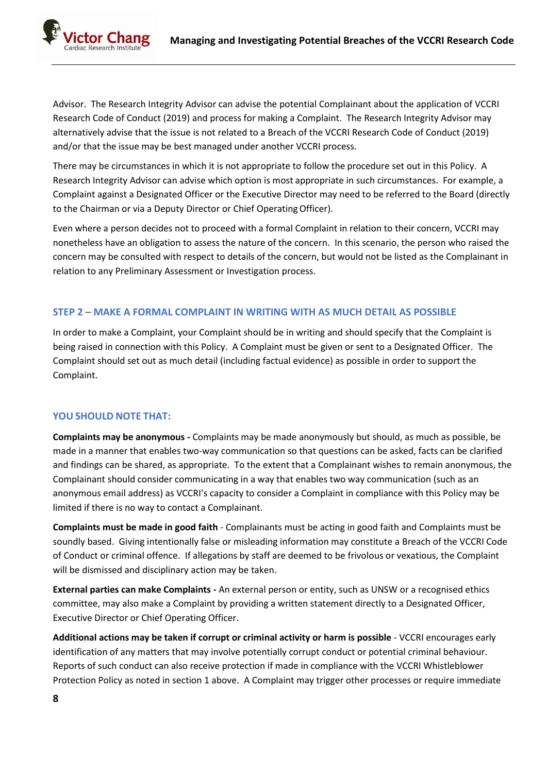

Advisor. The Research Integrity Advisor can advise the potential Complainant about the application of VCCRI Research Code of Conduct (2019) and process for making a Complaint. The Research Integrity Advisor may alternatively advise that the issue is not related to a Breach of the VCCRI Research Code of Conduct (2019) and/or that the issue may be best managed under another VCCRI process.

There may be circumstances in which it is not appropriate to follow the procedure set out in this Policy. A Research Integrity Advisor can advise which option is most appropriate in such circumstances. For example, a Complaint against a Designated Officer or the Executive Director may need to be referred to the Board (directly to the Chairman or via a Deputy Director or Chief OperatingOfficer).

Even where a person decides not to proceed with a formal Complaint in relation to their concern, VCCRI may nonetheless have an obligation to assess the nature of the concern. In this scenario, the person who raised the concern may be consulted with respect to details of the concern, but would not be listed as the Complainant in relation to any Preliminary Assessment or Investigation process.

## **STEP 2 – MAKE A FORMAL COMPLAINT IN WRITING WITH AS MUCH DETAIL AS POSSIBLE**

In order to make a Complaint, your Complaint should be in writing and should specify that the Complaint is being raised in connection with this Policy. A Complaint must be given or sent to a Designated Officer. The Complaint should set out as much detail (including factual evidence) as possible in order to support the Complaint.

# **YOU SHOULD NOTE THAT:**

**Complaints may be anonymous -** Complaints may be made anonymously but should, as much as possible, be made in a manner that enables two-way communication so that questions can be asked, facts can be clarified and findings can be shared, as appropriate. To the extent that a Complainant wishes to remain anonymous, the Complainant should consider communicating in a way that enables two way communication (such as an anonymous email address) as VCCRI's capacity to consider a Complaint in compliance with this Policy may be limited if there is no way to contact a Complainant.

**Complaints must be made in good faith** - Complainants must be acting in good faith and Complaints must be soundly based. Giving intentionally false or misleading information may constitute a Breach of the VCCRI Code of Conduct or criminal offence. If allegations by staff are deemed to be frivolous or vexatious, the Complaint will be dismissed and disciplinary action may be taken.

**External parties can make Complaints -** An external person or entity, such as UNSW or a recognised ethics committee, may also make a Complaint by providing a written statement directly to a Designated Officer, Executive Director or Chief Operating Officer.

**Additional actions may be taken if corrupt or criminal activity or harm is possible** - VCCRI encourages early identification of any matters that may involve potentially corrupt conduct or potential criminal behaviour. Reports of such conduct can also receive protection if made in compliance with the VCCRI Whistleblower Protection Policy as noted in section 1 above. A Complaint may trigger other processes or require immediate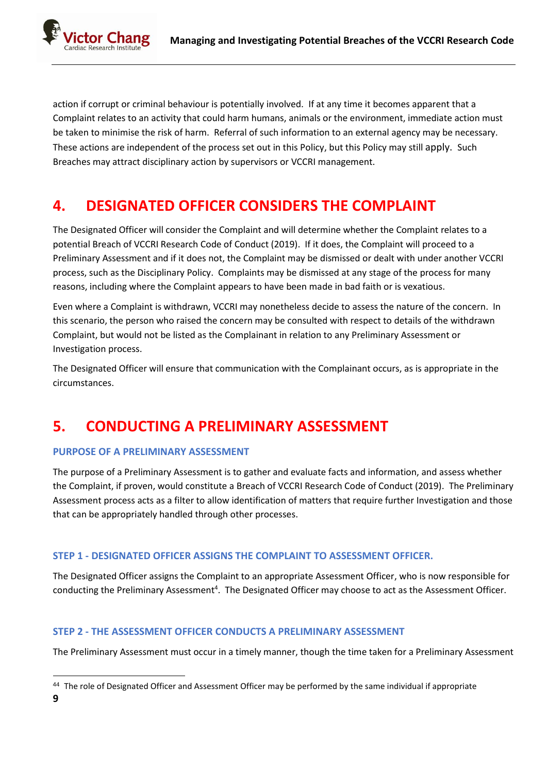ictor Chang Research Institute

> action if corrupt or criminal behaviour is potentially involved. If at any time it becomes apparent that a Complaint relates to an activity that could harm humans, animals or the environment, immediate action must be taken to minimise the risk of harm. Referral of such information to an external agency may be necessary. These actions are independent of the process set out in this Policy, but this Policy may still apply. Such Breaches may attract disciplinary action by supervisors or VCCRI management.

# **4. DESIGNATED OFFICER CONSIDERS THE COMPLAINT**

The Designated Officer will consider the Complaint and will determine whether the Complaint relates to a potential Breach of VCCRI Research Code of Conduct (2019). If it does, the Complaint will proceed to a Preliminary Assessment and if it does not, the Complaint may be dismissed or dealt with under another VCCRI process, such as the Disciplinary Policy. Complaints may be dismissed at any stage of the process for many reasons, including where the Complaint appears to have been made in bad faith or is vexatious.

Even where a Complaint is withdrawn, VCCRI may nonetheless decide to assess the nature of the concern. In this scenario, the person who raised the concern may be consulted with respect to details of the withdrawn Complaint, but would not be listed as the Complainant in relation to any Preliminary Assessment or Investigation process.

The Designated Officer will ensure that communication with the Complainant occurs, as is appropriate in the circumstances.

# **5. CONDUCTING A PRELIMINARY ASSESSMENT**

# **PURPOSE OF A PRELIMINARY ASSESSMENT**

The purpose of a Preliminary Assessment is to gather and evaluate facts and information, and assess whether the Complaint, if proven, would constitute a Breach of VCCRI Research Code of Conduct (2019). The Preliminary Assessment process acts as a filter to allow identification of matters that require further Investigation and those that can be appropriately handled through other processes.

# **STEP 1 - DESIGNATED OFFICER ASSIGNS THE COMPLAINT TO ASSESSMENT OFFICER.**

The Designated Officer assigns the Complaint to an appropriate Assessment Officer, who is now responsible for conducting the Preliminary Assessment<sup>4</sup>. The Designated Officer may choose to act as the Assessment Officer.

# **STEP 2 - THE ASSESSMENT OFFICER CONDUCTS A PRELIMINARY ASSESSMENT**

The Preliminary Assessment must occur in a timely manner, though the time taken for a Preliminary Assessment

<sup>44</sup> The role of Designated Officer and Assessment Officer may be performed by the same individual if appropriate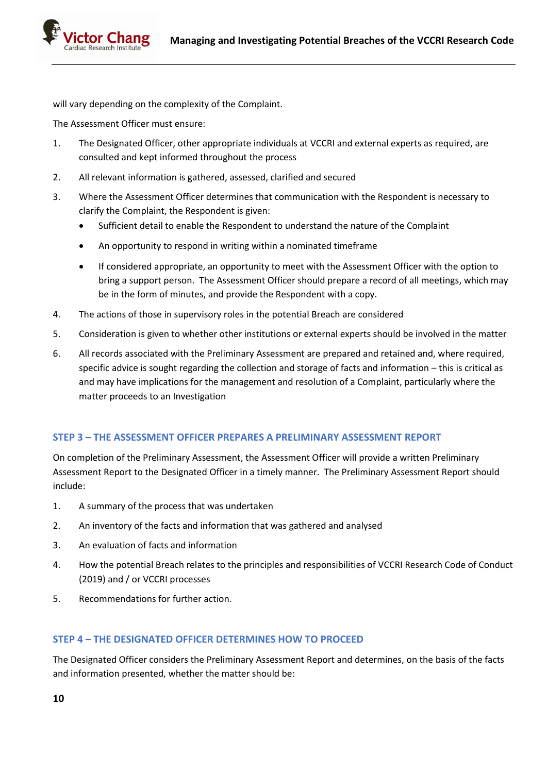ictor Chang

will vary depending on the complexity of the Complaint.

The Assessment Officer must ensure:

- 1. The Designated Officer, other appropriate individuals at VCCRI and external experts as required, are consulted and kept informed throughout the process
- 2. All relevant information is gathered, assessed, clarified and secured
- 3. Where the Assessment Officer determines that communication with the Respondent is necessary to clarify the Complaint, the Respondent is given:
	- Sufficient detail to enable the Respondent to understand the nature of the Complaint
	- An opportunity to respond in writing within a nominated timeframe
	- If considered appropriate, an opportunity to meet with the Assessment Officer with the option to bring a support person. The Assessment Officer should prepare a record of all meetings, which may be in the form of minutes, and provide the Respondent with a copy.
- 4. The actions of those in supervisory roles in the potential Breach are considered
- 5. Consideration is given to whether other institutions or external experts should be involved in the matter
- 6. All records associated with the Preliminary Assessment are prepared and retained and, where required, specific advice is sought regarding the collection and storage of facts and information – this is critical as and may have implications for the management and resolution of a Complaint, particularly where the matter proceeds to an Investigation

# **STEP 3 – THE ASSESSMENT OFFICER PREPARES A PRELIMINARY ASSESSMENT REPORT**

On completion of the Preliminary Assessment, the Assessment Officer will provide a written Preliminary Assessment Report to the Designated Officer in a timely manner. The Preliminary Assessment Report should include:

- 1. A summary of the process that was undertaken
- 2. An inventory of the facts and information that was gathered and analysed
- 3. An evaluation of facts and information
- 4. How the potential Breach relates to the principles and responsibilities of VCCRI Research Code of Conduct (2019) and / or VCCRI processes
- 5. Recommendations for further action.

# **STEP 4 – THE DESIGNATED OFFICER DETERMINES HOW TO PROCEED**

The Designated Officer considers the Preliminary Assessment Report and determines, on the basis of the facts and information presented, whether the matter should be: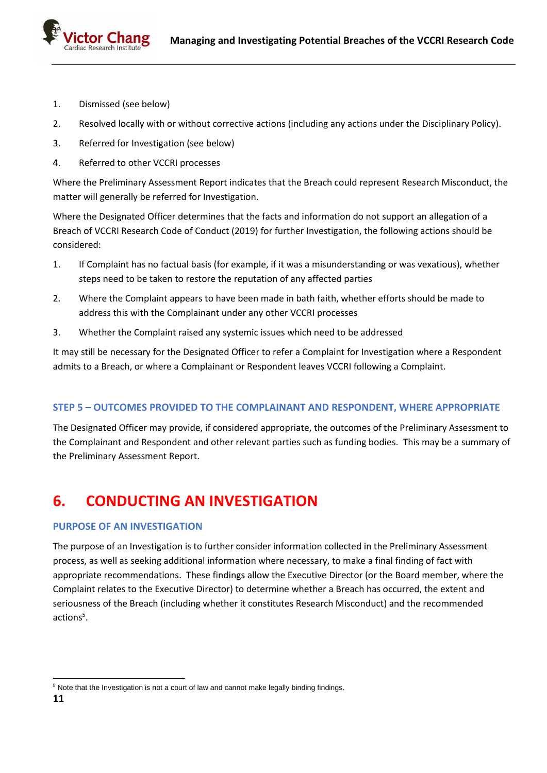- 1. Dismissed (see below)
- 2. Resolved locally with or without corrective actions (including any actions under the Disciplinary Policy).
- 3. Referred for Investigation (see below)
- 4. Referred to other VCCRI processes

Where the Preliminary Assessment Report indicates that the Breach could represent Research Misconduct, the matter will generally be referred for Investigation.

Where the Designated Officer determines that the facts and information do not support an allegation of a Breach of VCCRI Research Code of Conduct (2019) for further Investigation, the following actions should be considered:

- 1. If Complaint has no factual basis (for example, if it was a misunderstanding or was vexatious), whether steps need to be taken to restore the reputation of any affected parties
- 2. Where the Complaint appears to have been made in bath faith, whether efforts should be made to address this with the Complainant under any other VCCRI processes
- 3. Whether the Complaint raised any systemic issues which need to be addressed

It may still be necessary for the Designated Officer to refer a Complaint for Investigation where a Respondent admits to a Breach, or where a Complainant or Respondent leaves VCCRI following a Complaint.

### **STEP 5 – OUTCOMES PROVIDED TO THE COMPLAINANT AND RESPONDENT, WHERE APPROPRIATE**

The Designated Officer may provide, if considered appropriate, the outcomes of the Preliminary Assessment to the Complainant and Respondent and other relevant parties such as funding bodies. This may be a summary of the Preliminary Assessment Report.

# **6. CONDUCTING AN INVESTIGATION**

### **PURPOSE OF AN INVESTIGATION**

The purpose of an Investigation is to further consider information collected in the Preliminary Assessment process, as well as seeking additional information where necessary, to make a final finding of fact with appropriate recommendations. These findings allow the Executive Director (or the Board member, where the Complaint relates to the Executive Director) to determine whether a Breach has occurred, the extent and seriousness of the Breach (including whether it constitutes Research Misconduct) and the recommended actions<sup>5</sup>.

<sup>&</sup>lt;sup>5</sup> Note that the Investigation is not a court of law and cannot make legally binding findings.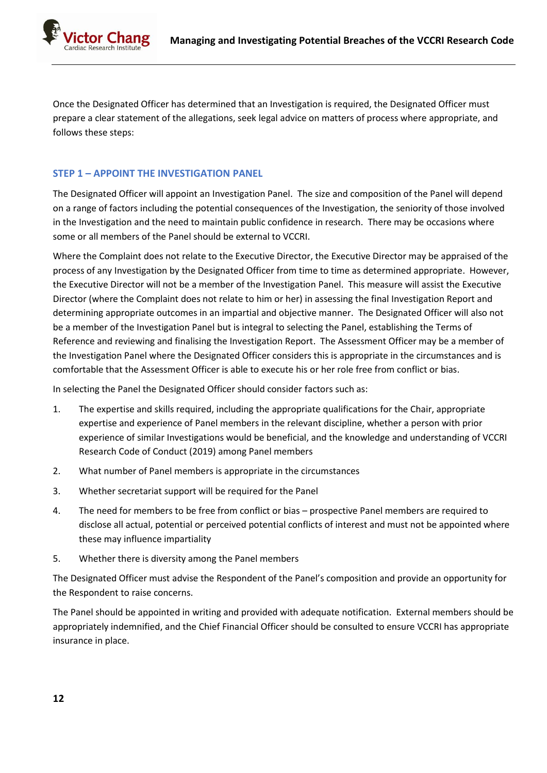Once the Designated Officer has determined that an Investigation is required, the Designated Officer must prepare a clear statement of the allegations, seek legal advice on matters of process where appropriate, and follows these steps:

## **STEP 1 – APPOINT THE INVESTIGATION PANEL**

The Designated Officer will appoint an Investigation Panel. The size and composition of the Panel will depend on a range of factors including the potential consequences of the Investigation, the seniority of those involved in the Investigation and the need to maintain public confidence in research. There may be occasions where some or all members of the Panel should be external to VCCRI.

Where the Complaint does not relate to the Executive Director, the Executive Director may be appraised of the process of any Investigation by the Designated Officer from time to time as determined appropriate. However, the Executive Director will not be a member of the Investigation Panel. This measure will assist the Executive Director (where the Complaint does not relate to him or her) in assessing the final Investigation Report and determining appropriate outcomes in an impartial and objective manner. The Designated Officer will also not be a member of the Investigation Panel but is integral to selecting the Panel, establishing the Terms of Reference and reviewing and finalising the Investigation Report. The Assessment Officer may be a member of the Investigation Panel where the Designated Officer considers this is appropriate in the circumstances and is comfortable that the Assessment Officer is able to execute his or her role free from conflict or bias.

In selecting the Panel the Designated Officer should consider factors such as:

- 1. The expertise and skills required, including the appropriate qualifications for the Chair, appropriate expertise and experience of Panel members in the relevant discipline, whether a person with prior experience of similar Investigations would be beneficial, and the knowledge and understanding of VCCRI Research Code of Conduct (2019) among Panel members
- 2. What number of Panel members is appropriate in the circumstances
- 3. Whether secretariat support will be required for the Panel
- 4. The need for members to be free from conflict or bias prospective Panel members are required to disclose all actual, potential or perceived potential conflicts of interest and must not be appointed where these may influence impartiality
- 5. Whether there is diversity among the Panel members

The Designated Officer must advise the Respondent of the Panel's composition and provide an opportunity for the Respondent to raise concerns.

The Panel should be appointed in writing and provided with adequate notification. External members should be appropriately indemnified, and the Chief Financial Officer should be consulted to ensure VCCRI has appropriate insurance in place.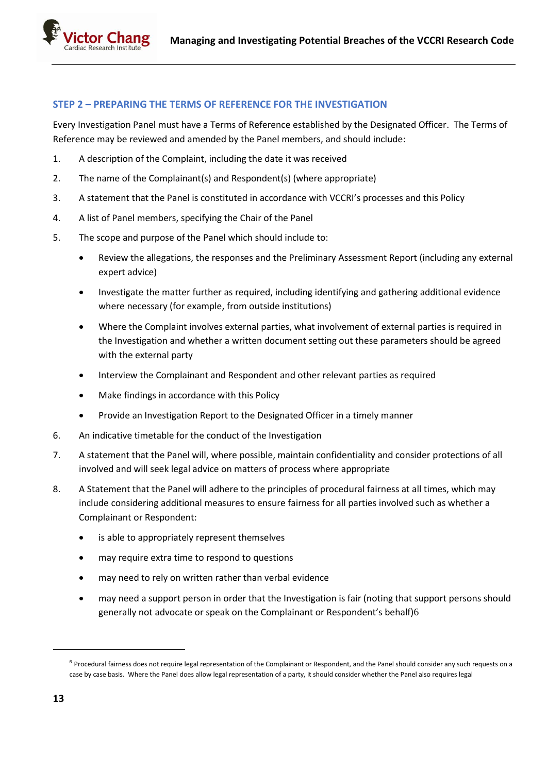### **STEP 2 – PREPARING THE TERMS OF REFERENCE FOR THE INVESTIGATION**

Every Investigation Panel must have a Terms of Reference established by the Designated Officer. The Terms of Reference may be reviewed and amended by the Panel members, and should include:

- 1. A description of the Complaint, including the date it was received
- 2. The name of the Complainant(s) and Respondent(s) (where appropriate)
- 3. A statement that the Panel is constituted in accordance with VCCRI's processes and this Policy
- 4. A list of Panel members, specifying the Chair of the Panel
- 5. The scope and purpose of the Panel which should include to:
	- Review the allegations, the responses and the Preliminary Assessment Report (including any external expert advice)
	- Investigate the matter further as required, including identifying and gathering additional evidence where necessary (for example, from outside institutions)
	- Where the Complaint involves external parties, what involvement of external parties is required in the Investigation and whether a written document setting out these parameters should be agreed with the external party
	- Interview the Complainant and Respondent and other relevant parties as required
	- Make findings in accordance with this Policy
	- Provide an Investigation Report to the Designated Officer in a timely manner
- 6. An indicative timetable for the conduct of the Investigation
- 7. A statement that the Panel will, where possible, maintain confidentiality and consider protections of all involved and will seek legal advice on matters of process where appropriate
- 8. A Statement that the Panel will adhere to the principles of procedural fairness at all times, which may include considering additional measures to ensure fairness for all parties involved such as whether a Complainant or Respondent:
	- is able to appropriately represent themselves
	- may require extra time to respond to questions
	- may need to rely on written rather than verbal evidence
	- may need a support person in order that the Investigation is fair (noting that support persons should generally not advocate or speak on the Complainant or Respondent's behalf)6

 $6$  Procedural fairness does not require legal representation of the Complainant or Respondent, and the Panel should consider any such requests on a case by case basis. Where the Panel does allow legal representation of a party, it should consider whether the Panel also requires legal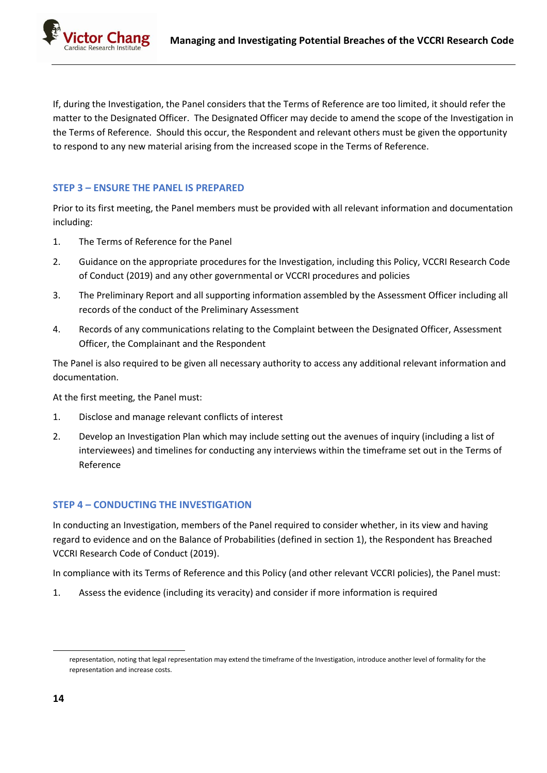ctor Chang

If, during the Investigation, the Panel considers that the Terms of Reference are too limited, it should refer the matter to the Designated Officer. The Designated Officer may decide to amend the scope of the Investigation in the Terms of Reference. Should this occur, the Respondent and relevant others must be given the opportunity to respond to any new material arising from the increased scope in the Terms of Reference.

# **STEP 3 – ENSURE THE PANEL IS PREPARED**

Prior to its first meeting, the Panel members must be provided with all relevant information and documentation including:

- 1. The Terms of Reference for the Panel
- 2. Guidance on the appropriate procedures for the Investigation, including this Policy, VCCRI Research Code of Conduct (2019) and any other governmental or VCCRI procedures and policies
- 3. The Preliminary Report and all supporting information assembled by the Assessment Officer including all records of the conduct of the Preliminary Assessment
- 4. Records of any communications relating to the Complaint between the Designated Officer, Assessment Officer, the Complainant and the Respondent

The Panel is also required to be given all necessary authority to access any additional relevant information and documentation.

At the first meeting, the Panel must:

- 1. Disclose and manage relevant conflicts of interest
- 2. Develop an Investigation Plan which may include setting out the avenues of inquiry (including a list of interviewees) and timelines for conducting any interviews within the timeframe set out in the Terms of Reference

# **STEP 4 – CONDUCTING THE INVESTIGATION**

In conducting an Investigation, members of the Panel required to consider whether, in its view and having regard to evidence and on the Balance of Probabilities (defined in section 1), the Respondent has Breached VCCRI Research Code of Conduct (2019).

In compliance with its Terms of Reference and this Policy (and other relevant VCCRI policies), the Panel must:

1. Assess the evidence (including its veracity) and consider if more information is required

representation, noting that legal representation may extend the timeframe of the Investigation, introduce another level of formality for the representation and increase costs.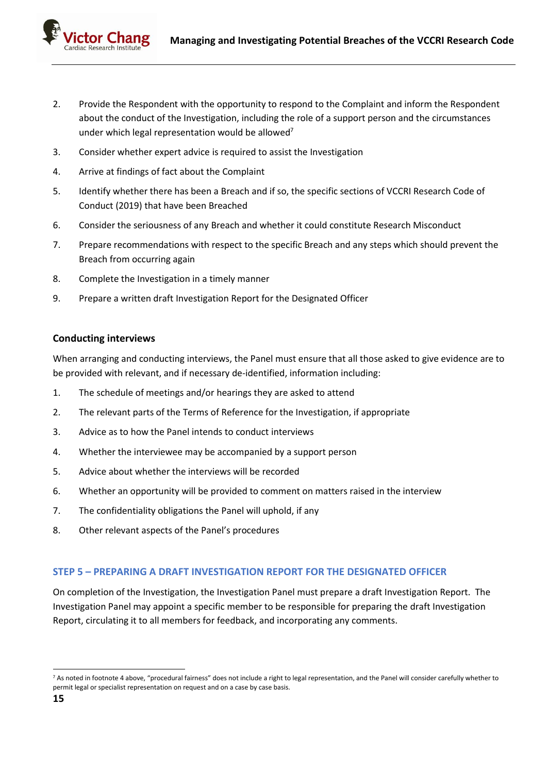

- 2. Provide the Respondent with the opportunity to respond to the Complaint and inform the Respondent about the conduct of the Investigation, including the role of a support person and the circumstances under which legal representation would be allowed<sup>7</sup>
- 3. Consider whether expert advice is required to assist the Investigation
- 4. Arrive at findings of fact about the Complaint
- 5. Identify whether there has been a Breach and if so, the specific sections of VCCRI Research Code of Conduct (2019) that have been Breached
- 6. Consider the seriousness of any Breach and whether it could constitute Research Misconduct
- 7. Prepare recommendations with respect to the specific Breach and any steps which should prevent the Breach from occurring again
- 8. Complete the Investigation in a timely manner
- 9. Prepare a written draft Investigation Report for the Designated Officer

#### **Conducting interviews**

When arranging and conducting interviews, the Panel must ensure that all those asked to give evidence are to be provided with relevant, and if necessary de-identified, information including:

- 1. The schedule of meetings and/or hearings they are asked to attend
- 2. The relevant parts of the Terms of Reference for the Investigation, if appropriate
- 3. Advice as to how the Panel intends to conduct interviews
- 4. Whether the interviewee may be accompanied by a support person
- 5. Advice about whether the interviews will be recorded
- 6. Whether an opportunity will be provided to comment on matters raised in the interview
- 7. The confidentiality obligations the Panel will uphold, if any
- 8. Other relevant aspects of the Panel's procedures

### **STEP 5 – PREPARING A DRAFT INVESTIGATION REPORT FOR THE DESIGNATED OFFICER**

On completion of the Investigation, the Investigation Panel must prepare a draft Investigation Report. The Investigation Panel may appoint a specific member to be responsible for preparing the draft Investigation Report, circulating it to all members for feedback, and incorporating any comments.

<sup>&</sup>lt;sup>7</sup> As noted in footnote 4 above, "procedural fairness" does not include a right to legal representation, and the Panel will consider carefully whether to permit legal or specialist representation on request and on a case by case basis.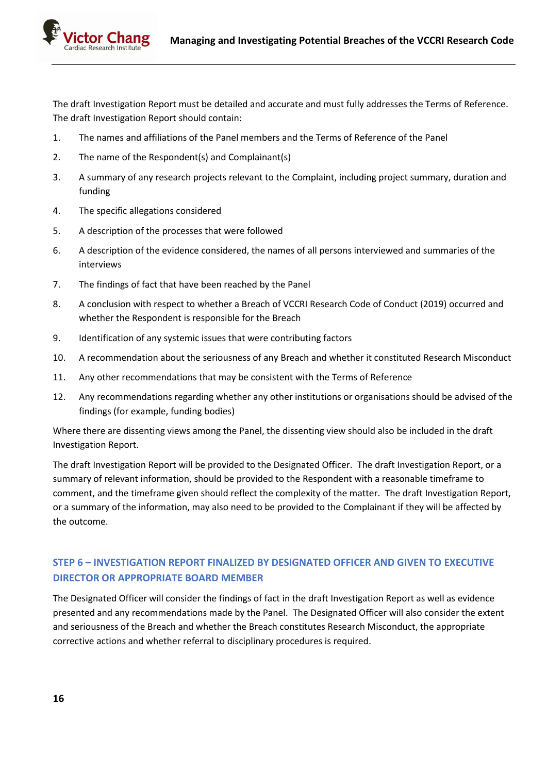

The draft Investigation Report must be detailed and accurate and must fully addresses the Terms of Reference. The draft Investigation Report should contain:

- 1. The names and affiliations of the Panel members and the Terms of Reference of the Panel
- 2. The name of the Respondent(s) and Complainant(s)
- 3. A summary of any research projects relevant to the Complaint, including project summary, duration and funding
- 4. The specific allegations considered
- 5. A description of the processes that were followed
- 6. A description of the evidence considered, the names of all persons interviewed and summaries of the interviews
- 7. The findings of fact that have been reached by the Panel
- 8. A conclusion with respect to whether a Breach of VCCRI Research Code of Conduct (2019) occurred and whether the Respondent is responsible for the Breach
- 9. Identification of any systemic issues that were contributing factors
- 10. A recommendation about the seriousness of any Breach and whether it constituted Research Misconduct
- 11. Any other recommendations that may be consistent with the Terms of Reference
- 12. Any recommendations regarding whether any other institutions or organisations should be advised of the findings (for example, funding bodies)

Where there are dissenting views among the Panel, the dissenting view should also be included in the draft Investigation Report.

The draft Investigation Report will be provided to the Designated Officer. The draft Investigation Report, or a summary of relevant information, should be provided to the Respondent with a reasonable timeframe to comment, and the timeframe given should reflect the complexity of the matter. The draft Investigation Report, or a summary of the information, may also need to be provided to the Complainant if they will be affected by the outcome.

# **STEP 6 – INVESTIGATION REPORT FINALIZED BY DESIGNATED OFFICER AND GIVEN TO EXECUTIVE DIRECTOR OR APPROPRIATE BOARD MEMBER**

The Designated Officer will consider the findings of fact in the draft Investigation Report as well as evidence presented and any recommendations made by the Panel. The Designated Officer will also consider the extent and seriousness of the Breach and whether the Breach constitutes Research Misconduct, the appropriate corrective actions and whether referral to disciplinary procedures is required.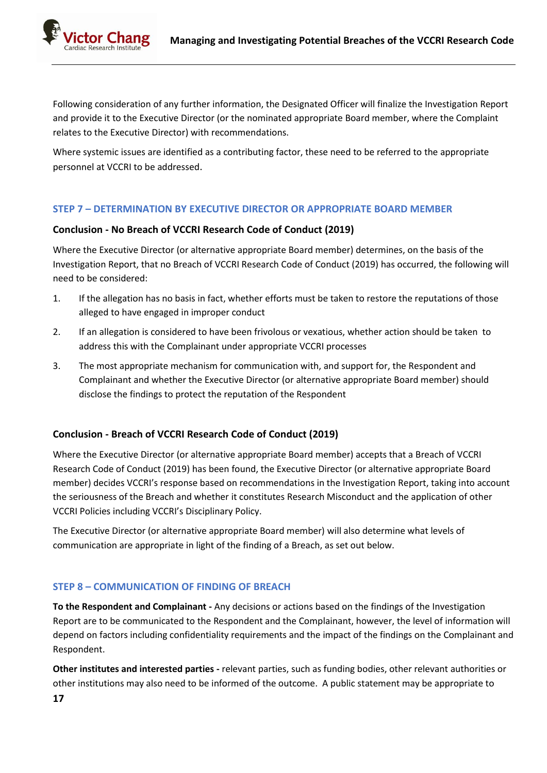Following consideration of any further information, the Designated Officer will finalize the Investigation Report and provide it to the Executive Director (or the nominated appropriate Board member, where the Complaint relates to the Executive Director) with recommendations.

Where systemic issues are identified as a contributing factor, these need to be referred to the appropriate personnel at VCCRI to be addressed.

## **STEP 7 – DETERMINATION BY EXECUTIVE DIRECTOR OR APPROPRIATE BOARD MEMBER**

### **Conclusion - No Breach of VCCRI Research Code of Conduct (2019)**

Where the Executive Director (or alternative appropriate Board member) determines, on the basis of the Investigation Report, that no Breach of VCCRI Research Code of Conduct (2019) has occurred, the following will need to be considered:

- 1. If the allegation has no basis in fact, whether efforts must be taken to restore the reputations of those alleged to have engaged in improper conduct
- 2. If an allegation is considered to have been frivolous or vexatious, whether action should be taken to address this with the Complainant under appropriate VCCRI processes
- 3. The most appropriate mechanism for communication with, and support for, the Respondent and Complainant and whether the Executive Director (or alternative appropriate Board member) should disclose the findings to protect the reputation of the Respondent

### **Conclusion - Breach of VCCRI Research Code of Conduct (2019)**

Where the Executive Director (or alternative appropriate Board member) accepts that a Breach of VCCRI Research Code of Conduct (2019) has been found, the Executive Director (or alternative appropriate Board member) decides VCCRI's response based on recommendations in the Investigation Report, taking into account the seriousness of the Breach and whether it constitutes Research Misconduct and the application of other VCCRI Policies including VCCRI's Disciplinary Policy.

The Executive Director (or alternative appropriate Board member) will also determine what levels of communication are appropriate in light of the finding of a Breach, as set out below.

# **STEP 8 – COMMUNICATION OF FINDING OF BREACH**

**To the Respondent and Complainant -** Any decisions or actions based on the findings of the Investigation Report are to be communicated to the Respondent and the Complainant, however, the level of information will depend on factors including confidentiality requirements and the impact of the findings on the Complainant and Respondent.

**Other institutes and interested parties -** relevant parties, such as funding bodies, other relevant authorities or other institutions may also need to be informed of the outcome. A public statement may be appropriate to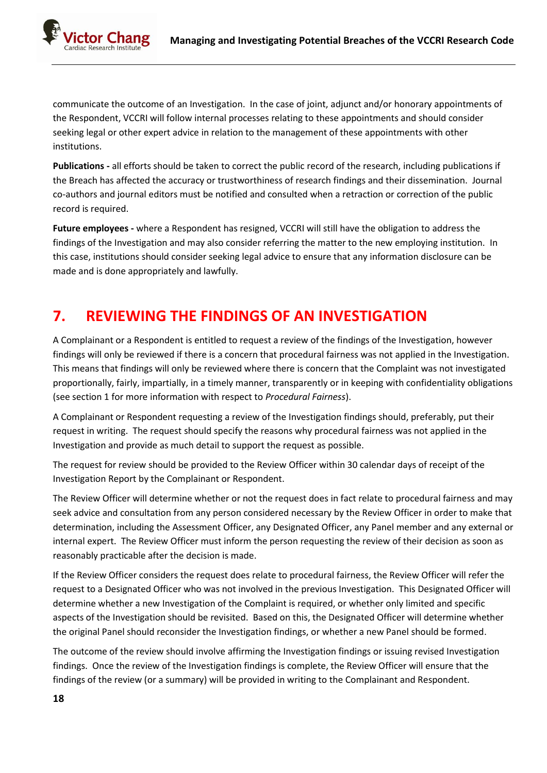ctor Chang Research Institute

> communicate the outcome of an Investigation. In the case of joint, adjunct and/or honorary appointments of the Respondent, VCCRI will follow internal processes relating to these appointments and should consider seeking legal or other expert advice in relation to the management of these appointments with other institutions.

> **Publications -** all efforts should be taken to correct the public record of the research, including publications if the Breach has affected the accuracy or trustworthiness of research findings and their dissemination. Journal co-authors and journal editors must be notified and consulted when a retraction or correction of the public record is required.

**Future employees -** where a Respondent has resigned, VCCRI will still have the obligation to address the findings of the Investigation and may also consider referring the matter to the new employing institution. In this case, institutions should consider seeking legal advice to ensure that any information disclosure can be made and is done appropriately and lawfully.

# **7. REVIEWING THE FINDINGS OF AN INVESTIGATION**

A Complainant or a Respondent is entitled to request a review of the findings of the Investigation, however findings will only be reviewed if there is a concern that procedural fairness was not applied in the Investigation. This means that findings will only be reviewed where there is concern that the Complaint was not investigated proportionally, fairly, impartially, in a timely manner, transparently or in keeping with confidentiality obligations (see section 1 for more information with respect to *Procedural Fairness*).

A Complainant or Respondent requesting a review of the Investigation findings should, preferably, put their request in writing. The request should specify the reasons why procedural fairness was not applied in the Investigation and provide as much detail to support the request as possible.

The request for review should be provided to the Review Officer within 30 calendar days of receipt of the Investigation Report by the Complainant or Respondent.

The Review Officer will determine whether or not the request does in fact relate to procedural fairness and may seek advice and consultation from any person considered necessary by the Review Officer in order to make that determination, including the Assessment Officer, any Designated Officer, any Panel member and any external or internal expert. The Review Officer must inform the person requesting the review of their decision as soon as reasonably practicable after the decision is made.

If the Review Officer considers the request does relate to procedural fairness, the Review Officer will refer the request to a Designated Officer who was not involved in the previous Investigation. This Designated Officer will determine whether a new Investigation of the Complaint is required, or whether only limited and specific aspects of the Investigation should be revisited. Based on this, the Designated Officer will determine whether the original Panel should reconsider the Investigation findings, or whether a new Panel should be formed.

The outcome of the review should involve affirming the Investigation findings or issuing revised Investigation findings. Once the review of the Investigation findings is complete, the Review Officer will ensure that the findings of the review (or a summary) will be provided in writing to the Complainant and Respondent.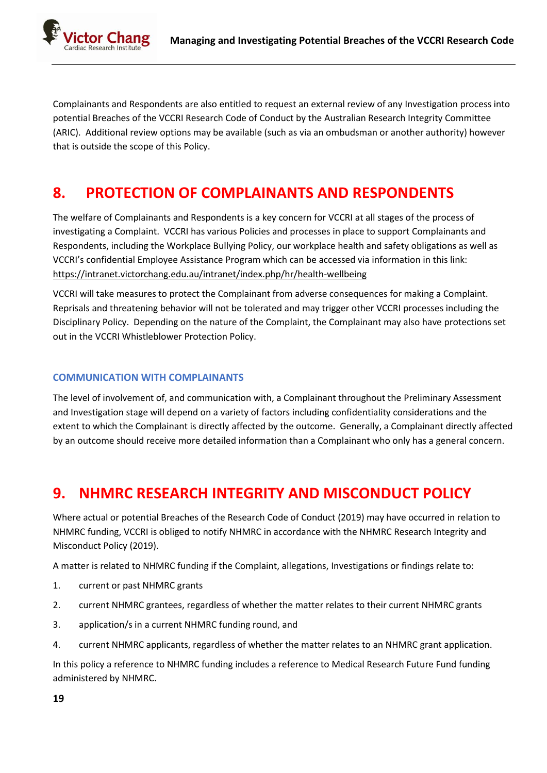

Complainants and Respondents are also entitled to request an external review of any Investigation process into potential Breaches of the VCCRI Research Code of Conduct by the Australian Research Integrity Committee (ARIC). Additional review options may be available (such as via an ombudsman or another authority) however that is outside the scope of this Policy.

# **8. PROTECTION OF COMPLAINANTS AND RESPONDENTS**

The welfare of Complainants and Respondents is a key concern for VCCRI at all stages of the process of investigating a Complaint. VCCRI has various Policies and processes in place to support Complainants and Respondents, including the Workplace Bullying Policy, our workplace health and safety obligations as well as VCCRI's confidential Employee Assistance Program which can be accessed via information in this link: <https://intranet.victorchang.edu.au/intranet/index.php/hr/health-wellbeing>

VCCRI will take measures to protect the Complainant from adverse consequences for making a Complaint. Reprisals and threatening behavior will not be tolerated and may trigger other VCCRI processes including the Disciplinary Policy. Depending on the nature of the Complaint, the Complainant may also have protections set out in the VCCRI Whistleblower Protection Policy.

## **COMMUNICATION WITH COMPLAINANTS**

The level of involvement of, and communication with, a Complainant throughout the Preliminary Assessment and Investigation stage will depend on a variety of factors including confidentiality considerations and the extent to which the Complainant is directly affected by the outcome. Generally, a Complainant directly affected by an outcome should receive more detailed information than a Complainant who only has a general concern.

# **9. NHMRC RESEARCH INTEGRITY AND MISCONDUCT POLICY**

Where actual or potential Breaches of the Research Code of Conduct (2019) may have occurred in relation to NHMRC funding, VCCRI is obliged to notify NHMRC in accordance with the NHMRC Research Integrity and Misconduct Policy (2019).

A matter is related to NHMRC funding if the Complaint, allegations, Investigations or findings relate to:

- 1. current or past NHMRC grants
- 2. current NHMRC grantees, regardless of whether the matter relates to their current NHMRC grants
- 3. application/s in a current NHMRC funding round, and
- 4. current NHMRC applicants, regardless of whether the matter relates to an NHMRC grant application.

In this policy a reference to NHMRC funding includes a reference to Medical Research Future Fund funding administered by NHMRC.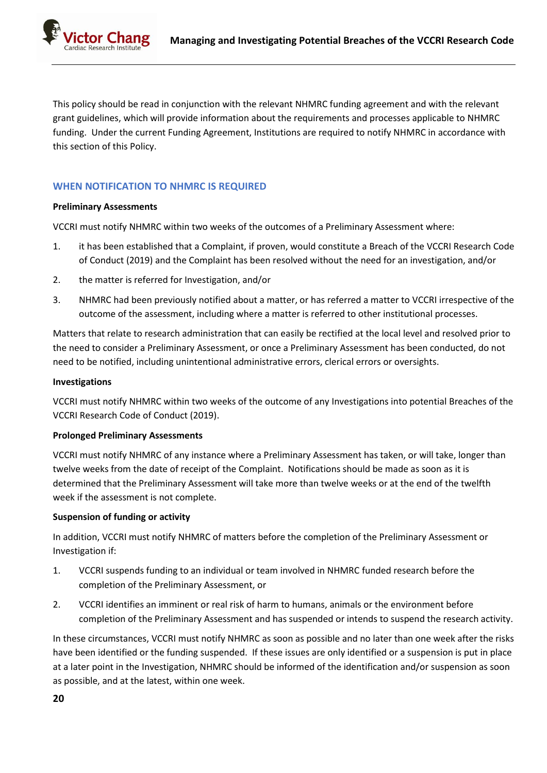

This policy should be read in conjunction with the relevant NHMRC funding agreement and with the relevant grant guidelines, which will provide information about the requirements and processes applicable to NHMRC funding. Under the current Funding Agreement, Institutions are required to notify NHMRC in accordance with this section of this Policy.

## **WHEN NOTIFICATION TO NHMRC IS REQUIRED**

#### **Preliminary Assessments**

VCCRI must notify NHMRC within two weeks of the outcomes of a Preliminary Assessment where:

- 1. it has been established that a Complaint, if proven, would constitute a Breach of the VCCRI Research Code of Conduct (2019) and the Complaint has been resolved without the need for an investigation, and/or
- 2. the matter is referred for Investigation, and/or
- 3. NHMRC had been previously notified about a matter, or has referred a matter to VCCRI irrespective of the outcome of the assessment, including where a matter is referred to other institutional processes.

Matters that relate to research administration that can easily be rectified at the local level and resolved prior to the need to consider a Preliminary Assessment, or once a Preliminary Assessment has been conducted, do not need to be notified, including unintentional administrative errors, clerical errors or oversights.

#### **Investigations**

VCCRI must notify NHMRC within two weeks of the outcome of any Investigations into potential Breaches of the VCCRI Research Code of Conduct (2019).

#### **Prolonged Preliminary Assessments**

VCCRI must notify NHMRC of any instance where a Preliminary Assessment has taken, or will take, longer than twelve weeks from the date of receipt of the Complaint. Notifications should be made as soon as it is determined that the Preliminary Assessment will take more than twelve weeks or at the end of the twelfth week if the assessment is not complete.

#### **Suspension of funding or activity**

In addition, VCCRI must notify NHMRC of matters before the completion of the Preliminary Assessment or Investigation if:

- 1. VCCRI suspends funding to an individual or team involved in NHMRC funded research before the completion of the Preliminary Assessment, or
- 2. VCCRI identifies an imminent or real risk of harm to humans, animals or the environment before completion of the Preliminary Assessment and has suspended or intends to suspend the research activity.

In these circumstances, VCCRI must notify NHMRC as soon as possible and no later than one week after the risks have been identified or the funding suspended. If these issues are only identified or a suspension is put in place at a later point in the Investigation, NHMRC should be informed of the identification and/or suspension as soon as possible, and at the latest, within one week.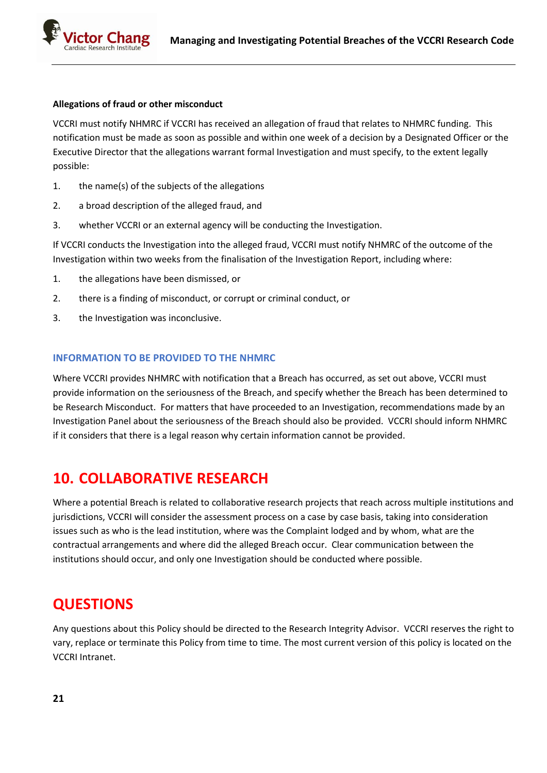#### **Allegations of fraud or other misconduct**

VCCRI must notify NHMRC if VCCRI has received an allegation of fraud that relates to NHMRC funding. This notification must be made as soon as possible and within one week of a decision by a Designated Officer or the Executive Director that the allegations warrant formal Investigation and must specify, to the extent legally possible:

- 1. the name(s) of the subjects of the allegations
- 2. a broad description of the alleged fraud, and
- 3. whether VCCRI or an external agency will be conducting the Investigation.

If VCCRI conducts the Investigation into the alleged fraud, VCCRI must notify NHMRC of the outcome of the Investigation within two weeks from the finalisation of the Investigation Report, including where:

- 1. the allegations have been dismissed, or
- 2. there is a finding of misconduct, or corrupt or criminal conduct, or
- 3. the Investigation was inconclusive.

#### **INFORMATION TO BE PROVIDED TO THE NHMRC**

Where VCCRI provides NHMRC with notification that a Breach has occurred, as set out above, VCCRI must provide information on the seriousness of the Breach, and specify whether the Breach has been determined to be Research Misconduct. For matters that have proceeded to an Investigation, recommendations made by an Investigation Panel about the seriousness of the Breach should also be provided. VCCRI should inform NHMRC if it considers that there is a legal reason why certain information cannot be provided.

# **10. COLLABORATIVE RESEARCH**

Where a potential Breach is related to collaborative research projects that reach across multiple institutions and jurisdictions, VCCRI will consider the assessment process on a case by case basis, taking into consideration issues such as who is the lead institution, where was the Complaint lodged and by whom, what are the contractual arrangements and where did the alleged Breach occur. Clear communication between the institutions should occur, and only one Investigation should be conducted where possible.

# **QUESTIONS**

Any questions about this Policy should be directed to the Research Integrity Advisor. VCCRI reserves the right to vary, replace or terminate this Policy from time to time. The most current version of this policy is located on the VCCRI Intranet.